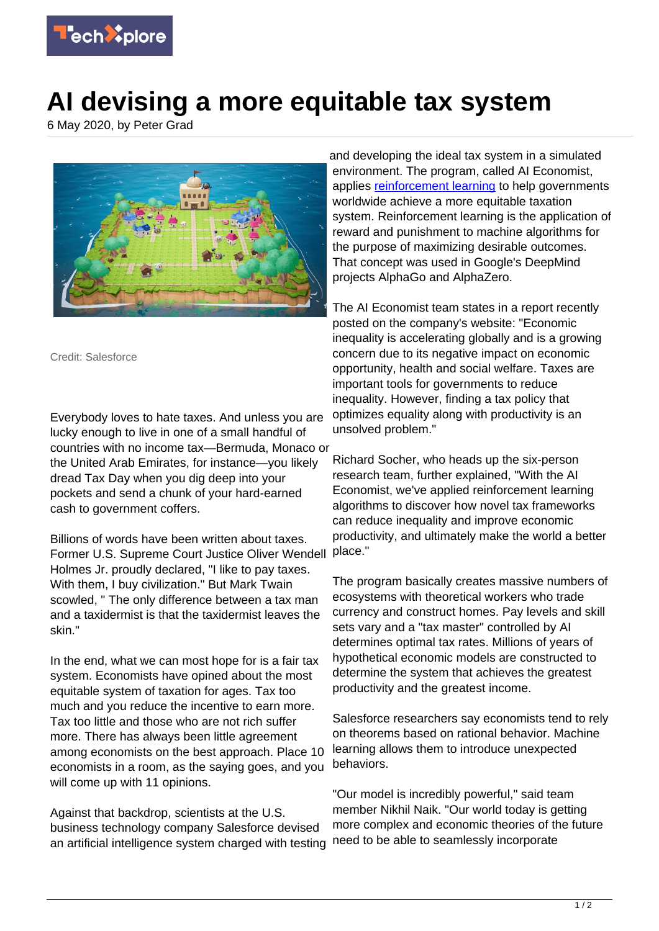

## **AI devising a more equitable tax system**

6 May 2020, by Peter Grad



Credit: Salesforce

Everybody loves to hate taxes. And unless you are lucky enough to live in one of a small handful of countries with no income tax—Bermuda, Monaco or the United Arab Emirates, for instance—you likely dread Tax Day when you dig deep into your pockets and send a chunk of your hard-earned cash to government coffers.

Billions of words have been written about taxes. Former U.S. Supreme Court Justice Oliver Wendell Holmes Jr. proudly declared, "I like to pay taxes. With them, I buy civilization." But Mark Twain scowled, " The only difference between a tax man and a taxidermist is that the taxidermist leaves the skin."

In the end, what we can most hope for is a fair tax system. Economists have opined about the most equitable system of taxation for ages. Tax too much and you reduce the incentive to earn more. Tax too little and those who are not rich suffer more. There has always been little agreement among economists on the best approach. Place 10 economists in a room, as the saying goes, and you will come up with 11 opinions.

Against that backdrop, scientists at the U.S. business technology company Salesforce devised an artificial intelligence system charged with testing

and developing the ideal tax system in a simulated environment. The program, called AI Economist, applies [reinforcement learning](https://techxplore.com/tags/reinforcement+learning/) to help governments worldwide achieve a more equitable taxation system. Reinforcement learning is the application of reward and punishment to machine algorithms for the purpose of maximizing desirable outcomes. That concept was used in Google's DeepMind projects AlphaGo and AlphaZero.

The AI Economist team states in a report recently posted on the company's website: "Economic inequality is accelerating globally and is a growing concern due to its negative impact on economic opportunity, health and social welfare. Taxes are important tools for governments to reduce inequality. However, finding a tax policy that optimizes equality along with productivity is an unsolved problem."

Richard Socher, who heads up the six-person research team, further explained, "With the AI Economist, we've applied reinforcement learning algorithms to discover how novel tax frameworks can reduce inequality and improve economic productivity, and ultimately make the world a better place."

The program basically creates massive numbers of ecosystems with theoretical workers who trade currency and construct homes. Pay levels and skill sets vary and a "tax master" controlled by AI determines optimal tax rates. Millions of years of hypothetical economic models are constructed to determine the system that achieves the greatest productivity and the greatest income.

Salesforce researchers say economists tend to rely on theorems based on rational behavior. Machine learning allows them to introduce unexpected behaviors.

"Our model is incredibly powerful," said team member Nikhil Naik. "Our world today is getting more complex and economic theories of the future need to be able to seamlessly incorporate